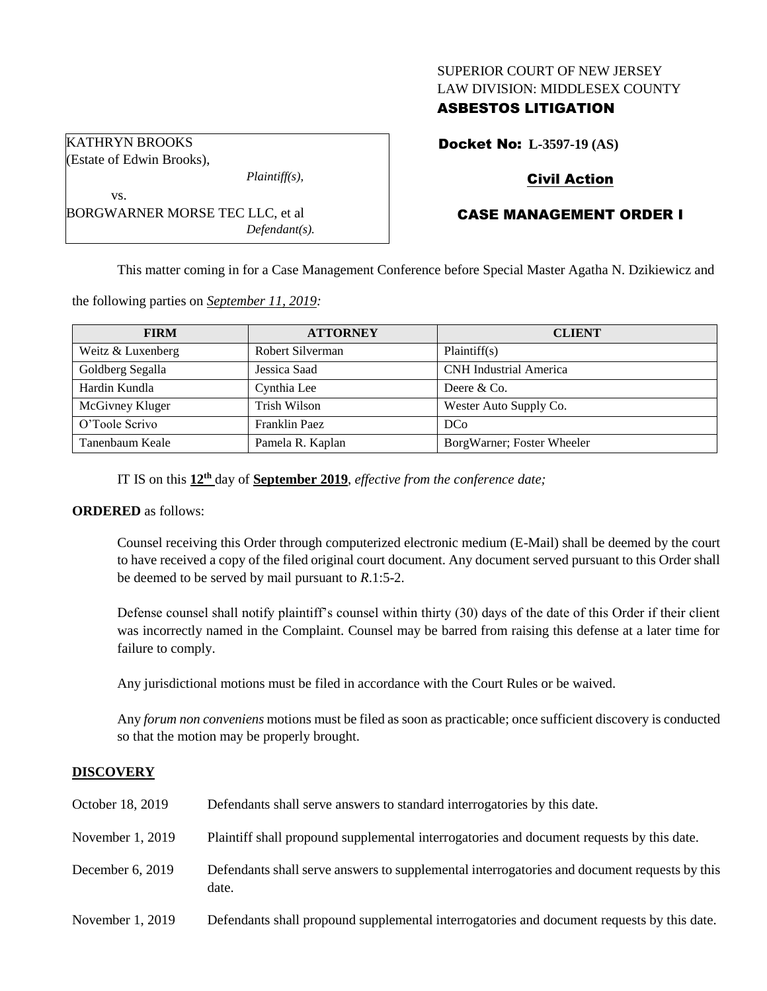### SUPERIOR COURT OF NEW JERSEY LAW DIVISION: MIDDLESEX COUNTY

### ASBESTOS LITIGATION

KATHRYN BROOKS (Estate of Edwin Brooks),

vs.

*Plaintiff(s),*

BORGWARNER MORSE TEC LLC, et al *Defendant(s).* Docket No: **L-3597-19 (AS)**

## Civil Action

# CASE MANAGEMENT ORDER I

This matter coming in for a Case Management Conference before Special Master Agatha N. Dzikiewicz and

the following parties on *September 11, 2019:*

| <b>FIRM</b>       | <b>ATTORNEY</b>  | <b>CLIENT</b>                 |
|-------------------|------------------|-------------------------------|
| Weitz & Luxenberg | Robert Silverman | Plaintiff(s)                  |
| Goldberg Segalla  | Jessica Saad     | <b>CNH</b> Industrial America |
| Hardin Kundla     | Cynthia Lee      | Deere $&Co$ .                 |
| McGivney Kluger   | Trish Wilson     | Wester Auto Supply Co.        |
| O'Toole Scrivo    | Franklin Paez    | DC <sub>0</sub>               |
| Tanenbaum Keale   | Pamela R. Kaplan | BorgWarner; Foster Wheeler    |

IT IS on this **12th** day of **September 2019**, *effective from the conference date;*

## **ORDERED** as follows:

Counsel receiving this Order through computerized electronic medium (E-Mail) shall be deemed by the court to have received a copy of the filed original court document. Any document served pursuant to this Order shall be deemed to be served by mail pursuant to *R*.1:5-2.

Defense counsel shall notify plaintiff's counsel within thirty (30) days of the date of this Order if their client was incorrectly named in the Complaint. Counsel may be barred from raising this defense at a later time for failure to comply.

Any jurisdictional motions must be filed in accordance with the Court Rules or be waived.

Any *forum non conveniens* motions must be filed as soon as practicable; once sufficient discovery is conducted so that the motion may be properly brought.

## **DISCOVERY**

| October 18, 2019   | Defendants shall serve answers to standard interrogatories by this date.                              |
|--------------------|-------------------------------------------------------------------------------------------------------|
| November 1, 2019   | Plaintiff shall propound supplemental interrogatories and document requests by this date.             |
| December $6, 2019$ | Defendants shall serve answers to supplemental interrogatories and document requests by this<br>date. |
| November 1, 2019   | Defendants shall propound supplemental interrogatories and document requests by this date.            |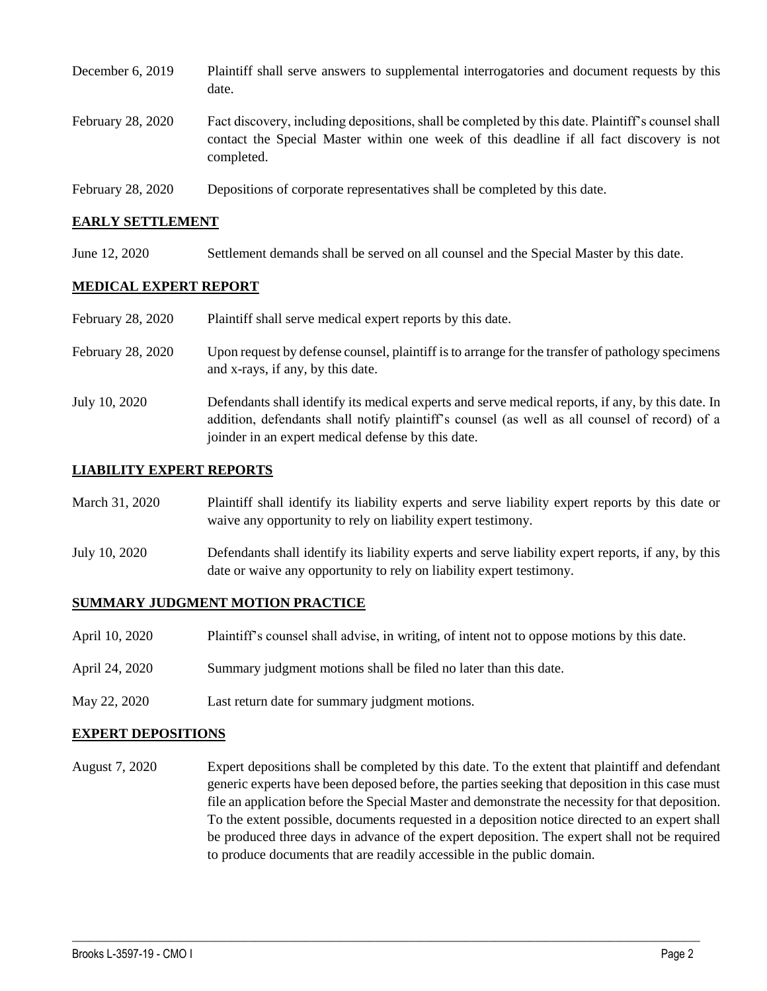| December 6, 2019  | Plaintiff shall serve answers to supplemental interrogatories and document requests by this<br>date.                                                                                                        |
|-------------------|-------------------------------------------------------------------------------------------------------------------------------------------------------------------------------------------------------------|
| February 28, 2020 | Fact discovery, including depositions, shall be completed by this date. Plaintiff's counsel shall<br>contact the Special Master within one week of this deadline if all fact discovery is not<br>completed. |
| February 28, 2020 | Depositions of corporate representatives shall be completed by this date.                                                                                                                                   |

#### **EARLY SETTLEMENT**

June 12, 2020 Settlement demands shall be served on all counsel and the Special Master by this date.

### **MEDICAL EXPERT REPORT**

| February 28, 2020 | Plaintiff shall serve medical expert reports by this date.                                                                                                                                                                                               |
|-------------------|----------------------------------------------------------------------------------------------------------------------------------------------------------------------------------------------------------------------------------------------------------|
| February 28, 2020 | Upon request by defense counsel, plaintiff is to arrange for the transfer of pathology specimens<br>and x-rays, if any, by this date.                                                                                                                    |
| July 10, 2020     | Defendants shall identify its medical experts and serve medical reports, if any, by this date. In<br>addition, defendants shall notify plaintiff's counsel (as well as all counsel of record) of a<br>joinder in an expert medical defense by this date. |

#### **LIABILITY EXPERT REPORTS**

| March 31, 2020 | Plaintiff shall identify its liability experts and serve liability expert reports by this date or<br>waive any opportunity to rely on liability expert testimony.           |
|----------------|-----------------------------------------------------------------------------------------------------------------------------------------------------------------------------|
| July 10, 2020  | Defendants shall identify its liability experts and serve liability expert reports, if any, by this<br>date or waive any opportunity to rely on liability expert testimony. |

### **SUMMARY JUDGMENT MOTION PRACTICE**

- April 10, 2020 Plaintiff's counsel shall advise, in writing, of intent not to oppose motions by this date.
- April 24, 2020 Summary judgment motions shall be filed no later than this date.
- May 22, 2020 Last return date for summary judgment motions.

#### **EXPERT DEPOSITIONS**

August 7, 2020 Expert depositions shall be completed by this date. To the extent that plaintiff and defendant generic experts have been deposed before, the parties seeking that deposition in this case must file an application before the Special Master and demonstrate the necessity for that deposition. To the extent possible, documents requested in a deposition notice directed to an expert shall be produced three days in advance of the expert deposition. The expert shall not be required to produce documents that are readily accessible in the public domain.

 $\_$  , and the set of the set of the set of the set of the set of the set of the set of the set of the set of the set of the set of the set of the set of the set of the set of the set of the set of the set of the set of th